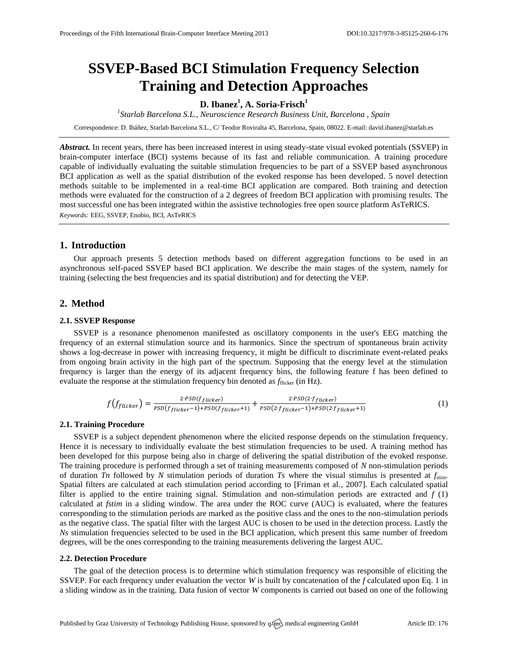# **SSVEP-Based BCI Stimulation Frequency Selection Training and Detection Approaches**

# **D. Ibanez<sup>1</sup> , A. Soria-Frisch<sup>1</sup>**

*1 Starlab Barcelona S.L., Neuroscience Research Business Unit, Barcelona , Spain*

Correspondence: D. Ibáñez, Starlab Barcelona S.L., C/ Teodor Roviralta 45, Barcelona, Spain, 08022. E-mail[: david.ibanez@starlab.es](mailto:david.ibanez@starlab.es)

*Abstract.* In recent years, there has been increased interest in using steady-state visual evoked potentials (SSVEP) in brain-computer interface (BCI) systems because of its fast and reliable communication. A training procedure capable of individually evaluating the suitable stimulation frequencies to be part of a SSVEP based asynchronous BCI application as well as the spatial distribution of the evoked response has been developed. 5 novel detection methods suitable to be implemented in a real-time BCI application are compared. Both training and detection methods were evaluated for the construction of a 2 degrees of freedom BCI application with promising results. The most successful one has been integrated within the assistive technologies free open source platform AsTeRICS. *Keywords:* EEG, SSVEP, Enobio, BCI, AsTeRICS

### **1. Introduction**

Our approach presents 5 detection methods based on different aggregation functions to be used in an asynchronous self-paced SSVEP based BCI application. We describe the main stages of the system, namely for training (selecting the best frequencies and its spatial distribution) and for detecting the VEP.

# **2. Method**

#### **2.1. SSVEP Response**

SSVEP is a resonance phenomenon manifested as oscillatory components in the user's EEG matching the frequency of an external stimulation source and its harmonics. Since the spectrum of spontaneous brain activity shows a log-decrease in power with increasing frequency, it might be difficult to discriminate event-related peaks from ongoing brain activity in the high part of the spectrum. Supposing that the energy level at the stimulation frequency is larger than the energy of its adjacent frequency bins, the following feature f has been defined to evaluate the response at the stimulation frequency bin denoted as  $f_{\text{flicker}}$  (in Hz).

$$
f(f_{flicker}) = \frac{2 \cdot \text{PSD}(f_{flicker})}{\text{PSD}(f_{flicker}-1) + \text{PSD}(f_{flicker}+1)} + \frac{2 \cdot \text{PSD}(2 \cdot f_{flicker})}{\text{PSD}(2 \cdot f_{flicker}-1) + \text{PSD}(2 \cdot f_{flicker}+1)}
$$
(1)

#### **2.1. Training Procedure**

SSVEP is a subject dependent phenomenon where the elicited response depends on the stimulation frequency. Hence it is necessary to individually evaluate the best stimulation frequencies to be used. A training method has been developed for this purpose being also in charge of delivering the spatial distribution of the evoked response. The training procedure is performed through a set of training measurements composed of *N* non-stimulation periods of duration *Tn* followed by *N* stimulation periods of duration *Ts* where the visual stimulus is presented at  $f_{\text{sim}}$ . Spatial filters are calculated at each stimulation period according to [Friman et al., 2007]. Each calculated spatial filter is applied to the entire training signal. Stimulation and non-stimulation periods are extracted and *f* (1) calculated at *fstim* in a sliding window. The area under the ROC curve (AUC) is evaluated, where the features corresponding to the stimulation periods are marked as the positive class and the ones to the non-stimulation periods as the negative class. The spatial filter with the largest AUC is chosen to be used in the detection process. Lastly the *Ns* stimulation frequencies selected to be used in the BCI application, which present this same number of freedom degrees, will be the ones corresponding to the training measurements delivering the largest AUC.

#### **2.2. Detection Procedure**

The goal of the detection process is to determine which stimulation frequency was responsible of eliciting the SSVEP. For each frequency under evaluation the vector *W* is built by concatenation of the *f* calculated upon Eq. 1 in a sliding window as in the training. Data fusion of vector *W* components is carried out based on one of the following